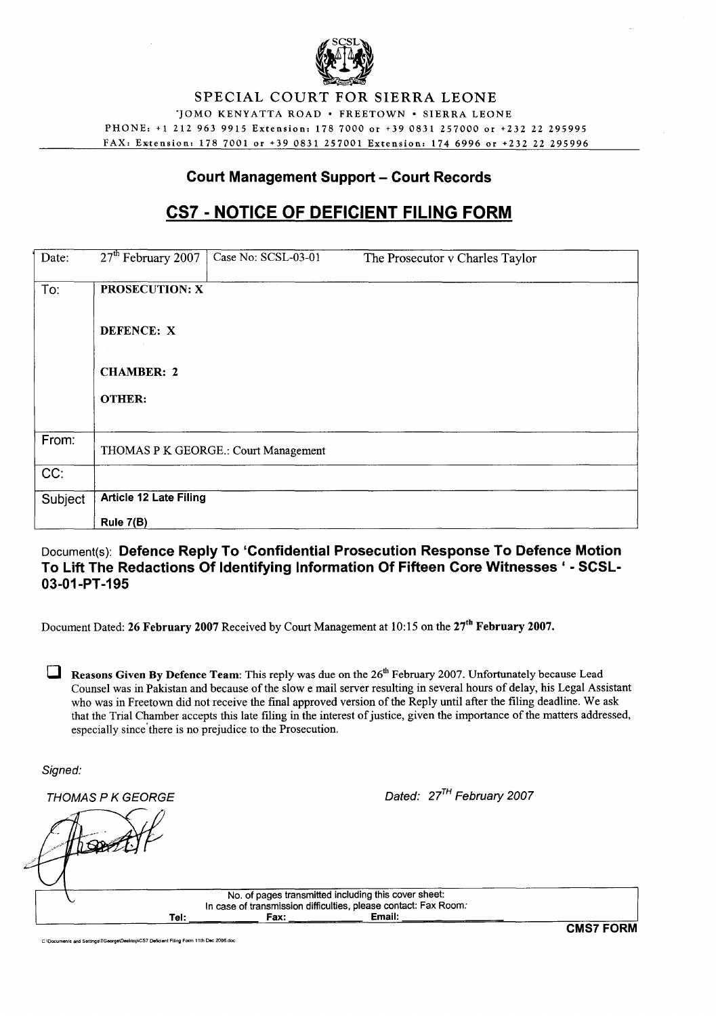

#### SPECIAL COURT FOR SIERRA LEONE 'JOMO KENYATTA ROAD . FREETOWN . SIERRA LEONE PHONE: +1 212 963 9915 Extension: 1787000 or +39 0831257000 or +232 22 295995 FAX: Extension: 178 7001 or +39 0831 257001 Extension: 174 6996 or +232 22 295996

## **Court Management Support - Court Records**

# **CS7· NOTICE OF DEFICIENT FILING FORM**

| Date:   | 27 <sup>th</sup> February 2007       | Case No: SCSL-03-01 | The Prosecutor v Charles Taylor |  |
|---------|--------------------------------------|---------------------|---------------------------------|--|
| To:     | <b>PROSECUTION: X</b>                |                     |                                 |  |
|         | DEFENCE: X                           |                     |                                 |  |
|         | <b>CHAMBER: 2</b>                    |                     |                                 |  |
|         | <b>OTHER:</b>                        |                     |                                 |  |
|         |                                      |                     |                                 |  |
| From:   | THOMAS P K GEORGE.: Court Management |                     |                                 |  |
| CC:     |                                      |                     |                                 |  |
| Subject | <b>Article 12 Late Filing</b>        |                     |                                 |  |
|         | Rule 7(B)                            |                     |                                 |  |

## Document(s): **Defence Reply To 'Confidential Prosecution Response To Defence Motion To Lift The Redactions Of Identifying Information Of Fifteen Core Witnesses' - SCSL-03-01-PT-195**

Document Dated: 26 February 2007 Received by Court Management at 10:15 on the 27<sup>th</sup> February 2007.

**D** Reasons Given By Defence Team: This reply was due on the  $26<sup>th</sup>$  February 2007. Unfortunately because Lead Counsel was in Pakistan and because of the slow e mail server resulting in several hours of delay, his Legal Assistant who was in Freetown did not receive the final approved version of the Reply until after the filing deadline. We ask that the Trial Chamber accepts this late filing in the interest of justice, given the importance of the matters addressed, especially since'there is no prejudice to the Prosecution.

Signed:

 $THOMAS$  P K GEORGE  $Dated: 27<sup>TH</sup>$  February 2007

No. of pages transmitted including this cover sheet: In case of transmission difficulties, please contact: Fax Room: Tel: Fax: Email:

C\Oocuments OIOd SettingsITGeorge\Desktop\CS7 DefICient Filing Form 11th Dec 2006.doc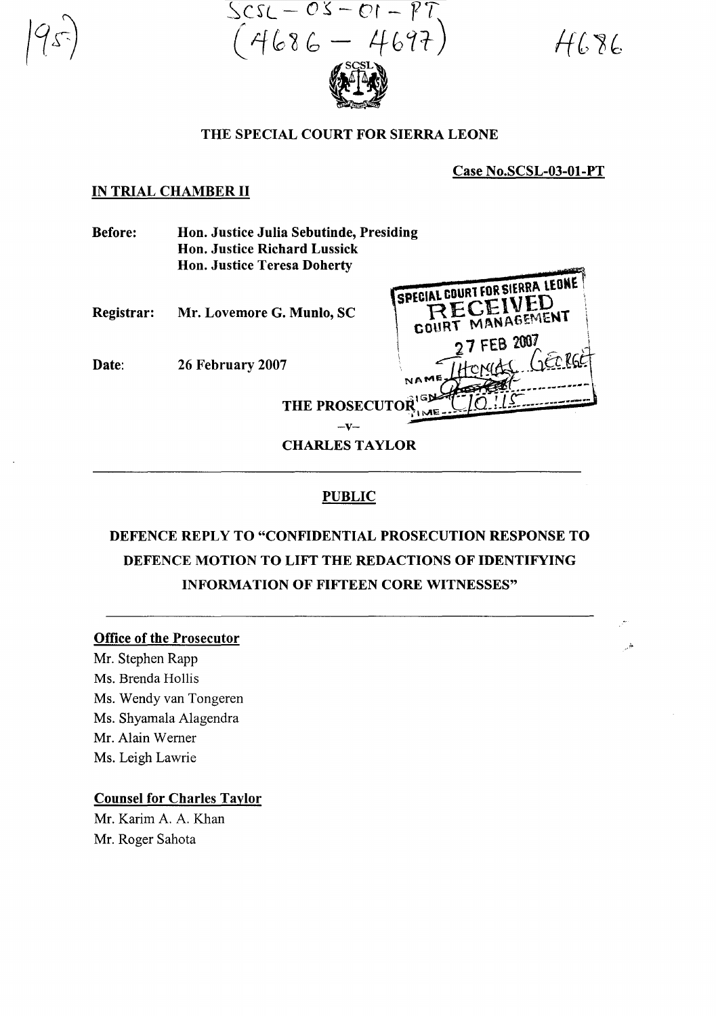$ScsL - OS - OS - PT$ <br>(4686 – 4697)

 $H686$ 

.:;.

#### THE SPECIAL COURT FOR SIERRA LEONE

Case No.SCSL-03-01-PT

#### IN TRIAL CHAMBER **II**

| <b>Before:</b> | Hon. Justice Julia Sebutinde, Presiding                         |                                                                               |  |
|----------------|-----------------------------------------------------------------|-------------------------------------------------------------------------------|--|
|                | <b>Hon. Justice Richard Lussick</b>                             |                                                                               |  |
|                | <b>Hon. Justice Teresa Doherty</b>                              |                                                                               |  |
| Registrar:     | Mr. Lovemore G. Munlo, SC                                       | SPECIAL COURT FOR SIERRA LEONE<br>RECEIVED<br>COURT MANAGEMENT<br>27 FEB 2007 |  |
| Date:          | 26 February 2007                                                | NAME                                                                          |  |
|                | THE PROSECUTOR <sup>1GN</sup><br>$-V-$<br><b>CHARLES TAYLOR</b> |                                                                               |  |
|                |                                                                 |                                                                               |  |

## PUBLIC

# DEFENCE REPLY TO "CONFIDENTIAL PROSECUTION RESPONSE TO DEFENCE MOTION TO LIFT THE REDACTIONS OF IDENTIFYING INFORMATION OF FIFTEEN CORE WITNESSES"

#### Office of the Prosecutor

Mr. Stephen Rapp Ms. Brenda Hollis Ms. Wendy van Tongeren Ms. Shyamala Alagendra Mr. Alain Wemer Ms. Leigh Lawrie

## Counsel for Charles Taylor

Mr. Karim A. A. Khan Mr. Roger Sahota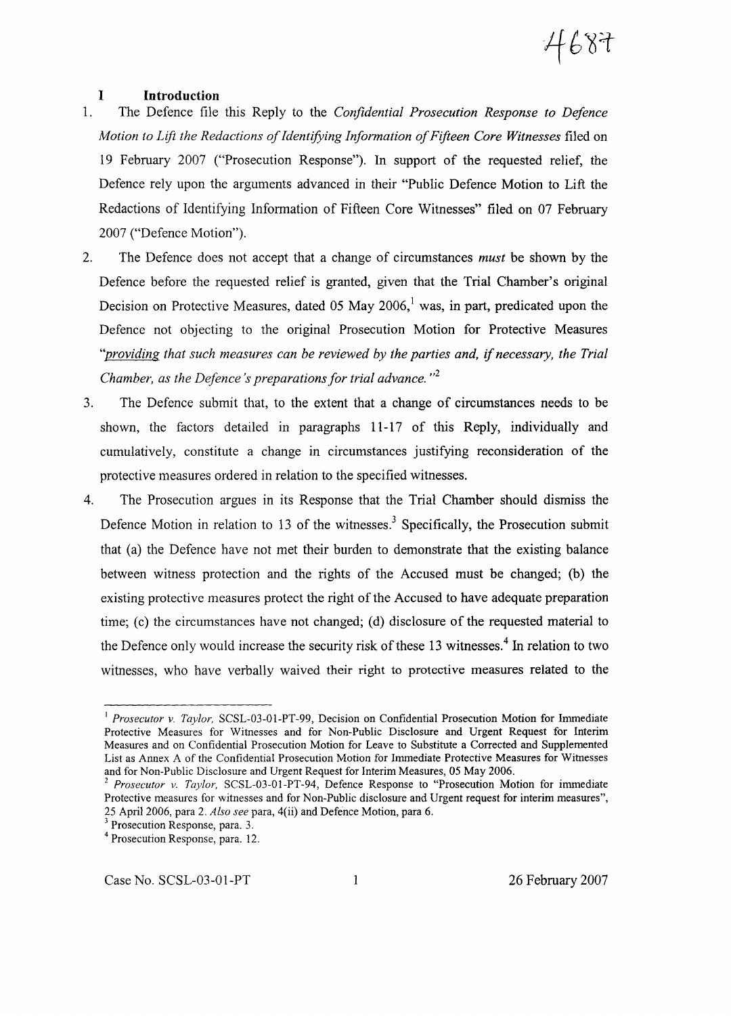# 4687

#### **I Introduction**

- 1. The Defence file this Reply to the *Confidential Prosecution Response to Defence Motion to Lift the Redactions ofIdentifying Information ofFifteen Core Witnesses* filed on 19 February 2007 ("Prosecution Response"). In support of the requested relief, the Defence rely upon the arguments advanced in their "Public Defence Motion to Lift the Redactions of Identifying Information of Fifteen Core Witnesses" filed on 07 February 2007 ("Defence Motion").
- 2. The Defence does not accept that a change of circumstances *must* be shown by the Defence before the requested relief is granted, given that the Trial Chamber's original Decision on Protective Measures, dated 05 May  $2006<sup>1</sup>$  was, in part, predicated upon the Defence not objecting to the original Prosecution Motion for Protective Measures *''providing that such measures can be reviewed by the parties and,* if *necessary, the Trial Chamber, as the Defence's preparations for trial advance.*  $n^2$
- 3. The Defence submit that, to the extent that a change of circumstances needs to be shown, the factors detailed in paragraphs 11-17 of this Reply, individually and cumulatively, constitute a change in circumstances justifying reconsideration of the protective measures ordered in relation to the specified witnesses.
- 4. The Prosecution argues in its Response that the Trial Chamber should dismiss the Defence Motion in relation to 13 of the witnesses.<sup>3</sup> Specifically, the Prosecution submit that (a) the Defence have not met their burden to demonstrate that the existing balance between witness protection and the rights of the Accused must be changed; (b) the existing protective measures protect the right of the Accused to have adequate preparation time; (c) the circumstances have not changed; (d) disclosure of the requested material to the Defence only would increase the security risk of these 13 witnesses.<sup>4</sup> In relation to two witnesses, who have verbally waived their right to protective measures related to the

<sup>&</sup>lt;sup>1</sup> Prosecutor *v. Taylor*, SCSL-03-01-PT-99, Decision on Confidential Prosecution Motion for Immediate Protective Measures for Witnesses and for Non-Public Disclosure and Urgent Request for Interim Measures and on Confidential Prosecution Motion for Leave to Substitute a Corrected and Supplemented List as Annex A of the Confidential Prosecution Motion for Immediate Protective Measures for Witnesses and for Non-Public Disclosure and Urgent Request for Interim Measures, 05 May 2006.

*<sup>2</sup> Prosecutor v. Taylor,* SCSL-03-01-PT-94, Defence Response to "Prosecution Motion for immediate Protective measures for witnesses and for Non-Public disclosure and Urgent request for interim measures", 25 April 2006, para 2. *Also see* para, 4(ii) and Defence Motion, para 6.

<sup>3</sup> Prosecution Response, para. 3.

<sup>4</sup> Prosecution Response, para. 12.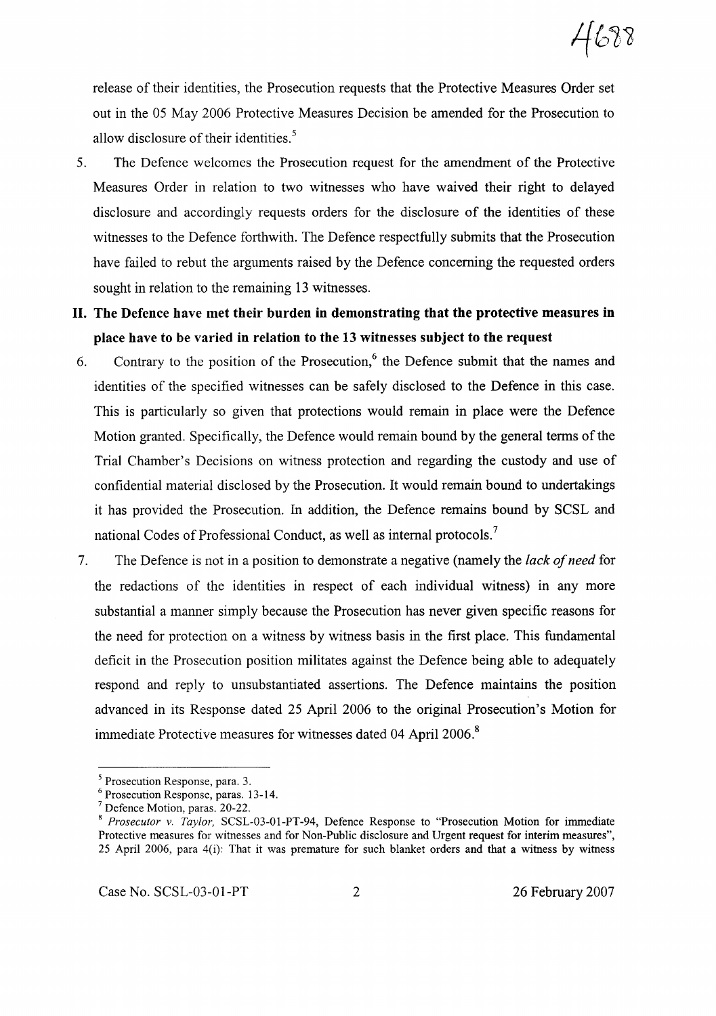release of their identities, the Prosecution requests that the Protective Measures Order set out in the 05 May 2006 Protective Measures Decision be amended for the Prosecution to allow disclosure of their identities. $<sup>5</sup>$ </sup>

- 5. The Defence welcomes the Prosecution request for the amendment of the Protective Measures Order in relation to two witnesses who have waived their right to delayed disclosure and accordingly requests orders for the disclosure of the identities of these witnesses to the Defence forthwith. The Defence respectfully submits that the Prosecution have failed to rebut the arguments raised by the Defence concerning the requested orders sought in relation to the remaining 13 witnesses.
- **II. The Defence have met their burden in demonstrating that the protective measures in place have to be varied in relation to the 13 witnesses subject to the request**
- 6. Contrary to the position of the Prosecution,<sup>6</sup> the Defence submit that the names and identities of the specified witnesses can be safely disclosed to the Defence in this case. This is particularly so given that protections would remain in place were the Defence Motion granted. Specifically, the Defence would remain bound by the general terms of the Trial Chamber's Decisions on witness protection and regarding the custody and use of confidential material disclosed by the Prosecution. It would remain bound to undertakings it has provided the Prosecution. In addition, the Defence remains bound by SCSL and national Codes of Professional Conduct, as well as internal protocols.<sup>7</sup>
- 7. The Defence is not in a position to demonstrate a negative (namely the *lack ofneed* for the redactions of the identities in respect of each individual witness) in any more substantial a manner simply because the Prosecution has never given specific reasons for the need for protection on a witness by witness basis in the first place. This fundamental deficit in the Prosecution position militates against the Defence being able to adequately respond and reply to unsubstantiated assertions. The Defence maintains the position advanced in its Response dated 25 April 2006 to the original Prosecution's Motion for immediate Protective measures for witnesses dated 04 April 2006.<sup>8</sup>

Case No. SCSL-03-01-PT 2 26 February 2007

<sup>5</sup> Prosecution Response, para. 3.

<sup>6</sup> Prosecution Response, paras. 13-14.

<sup>7</sup> Defence Motion, paras. 20-22.

<sup>8</sup> *Prosecutor v. Taylor,* SCSL-03-01-PT-94, Defence Response to "Prosecution Motion for immediate Protective measures for witnesses and for Non-Public disclosure and Urgent request for interim measures", 25 April 2006, para 4(i): That it was premature for such blanket orders and that a witness by witness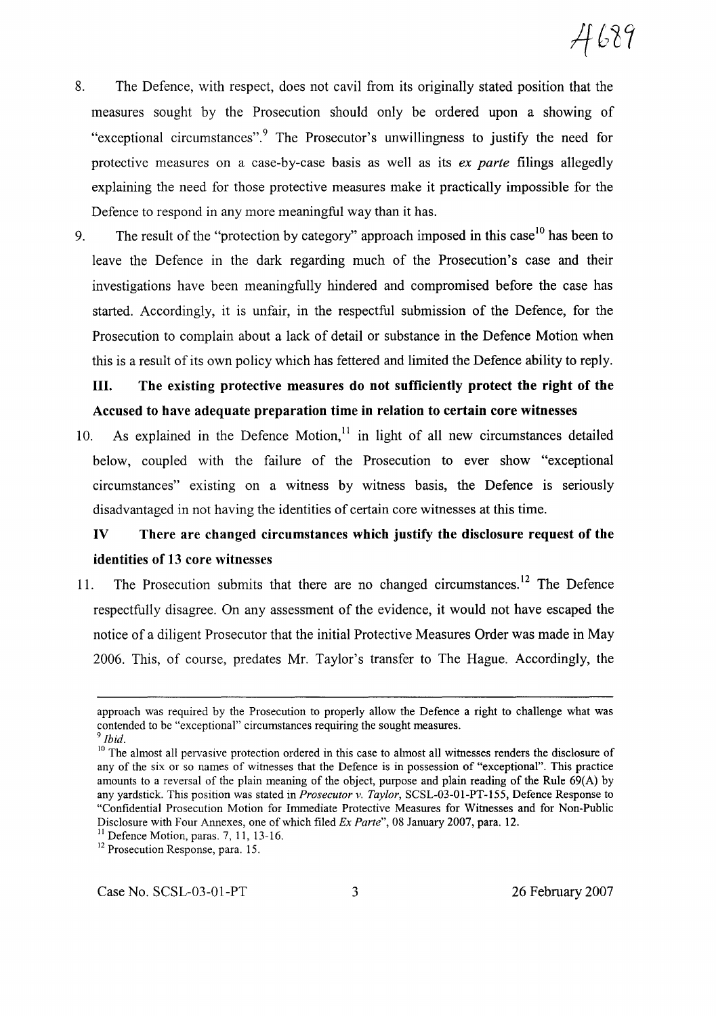- 8. The Defence, with respect, does not cavil from its originally stated position that the measures sought by the Prosecution should only be ordered upon a showing of "exceptional circumstances".<sup>9</sup> The Prosecutor's unwillingness to justify the need for protective measures on a case-by-case basis as well as its *ex parte* filings allegedly explaining the need for those protective measures make it practically impossible for the Defence to respond in any more meaningful way than it has.
- 9. The result of the "protection by category" approach imposed in this case<sup>10</sup> has been to leave the Defence in the dark regarding much of the Prosecution's case and their investigations have been meaningfully hindered and compromised before the case has started. Accordingly, it is unfair, in the respectful submission of the Defence, for the Prosecution to complain about a lack of detail or substance in the Defence Motion when this is a result of its own policy which has fettered and limited the Defence ability to reply.

# **III.** The existing protective measures do not sufficiently protect the right of the Accused to have adequate preparation time in relation to certain core witnesses

10. As explained in the Defence Motion, $11$  in light of all new circumstances detailed below, coupled with the failure of the Prosecution to ever show "exceptional circumstances" existing on a witness by witness basis, the Defence is seriously disadvantaged in not having the identities of certain core witnesses at this time.

# IV There are changed circumstances which justify the disclosure request of the identities of 13 core witnesses

11. The Prosecution submits that there are no changed circumstances.<sup>12</sup> The Defence respectfully disagree. On any assessment of the evidence, it would not have escaped the notice of a diligent Prosecutor that the initial Protective Measures Order was made in May 2006. This, of course, predates Mr. Taylor's transfer to The Hague. Accordingly, the

approach was required by the Prosecution to properly allow the Defence a right to challenge what was contended to be "exceptional" circumstances requiring the sought measures.

*<sup>9</sup> Ibid.*

<sup>&</sup>lt;sup>10</sup> The almost all pervasive protection ordered in this case to almost all witnesses renders the disclosure of any of the six or so names of witnesses that the Defence is in possession of "exceptional". This practice amounts to a reversal of the plain meaning of the object, purpose and plain reading of the Rule 69(A) by any yardstick. This position was stated in *Prosecutor* v. *Taylor,* SCSL-03-01-PT-155, Defence Response to "Confidential Prosecution Motion for Immediate Protective Measures for Witnesses and for Non-Public Disclosure with Four Annexes, one of which filed *Ex Parte",* 08 January 2007, para. 12.

 $<sup>11</sup>$  Defence Motion, paras. 7, 11, 13-16.</sup>

<sup>&</sup>lt;sup>12</sup> Prosecution Response, para. 15.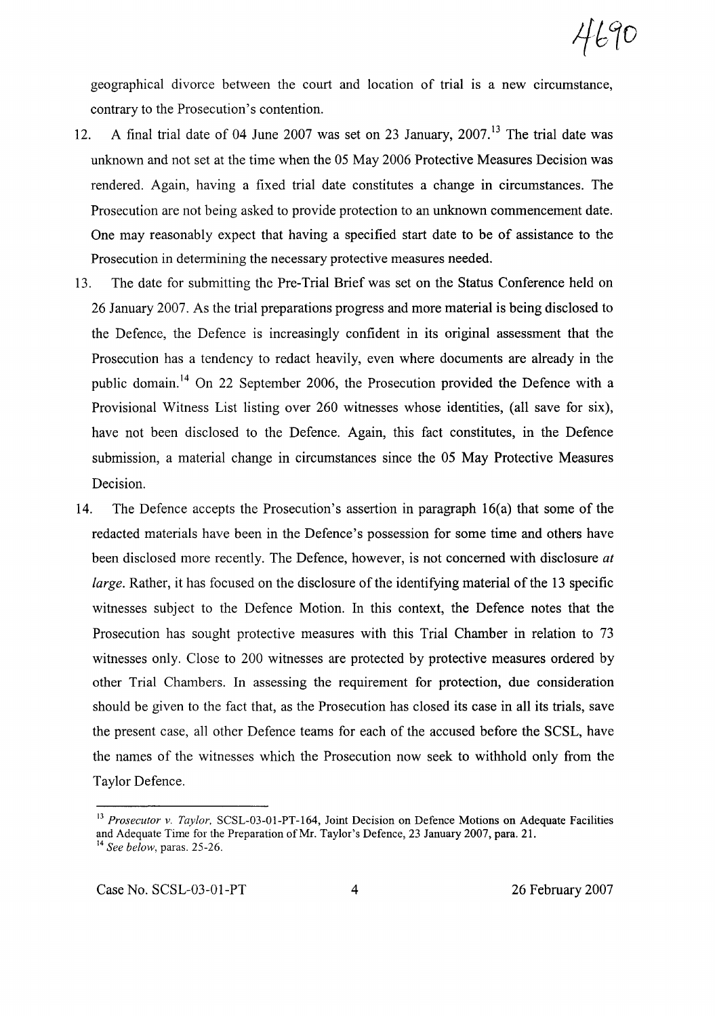4690

geographical divorce between the court and location of trial is a new circumstance, contrary to the Prosecution's contention.

- 12. A final trial date of 04 June 2007 was set on 23 January,  $2007$ .<sup>13</sup> The trial date was unknown and not set at the time when the 05 May 2006 Protective Measures Decision was rendered. Again, having a fixed trial date constitutes a change in circumstances. The Prosecution are not being asked to provide protection to an unknown commencement date. One may reasonably expect that having a specified start date to be of assistance to the Prosecution in determining the necessary protective measures needed.
- 13. The date for submitting the Pre-Trial Brief was set on the Status Conference held on 26 January 2007. As the trial preparations progress and more material is being disclosed to the Defence, the Defence is increasingly confident in its original assessment that the Prosecution has a tendency to redact heavily, even where documents are already in the public domain. <sup>14</sup> On 22 September 2006, the Prosecution provided the Defence with a Provisional Witness List listing over 260 witnesses whose identities, (all save for six), have not been disclosed to the Defence. Again, this fact constitutes, in the Defence submission, a material change in circumstances since the 05 May Protective Measures Decision.
- 14. The Defence accepts the Prosecution's assertion in paragraph 16(a) that some of the redacted materials have been in the Defence's possession for some time and others have been disclosed more recently. The Defence, however, is not concerned with disclosure *at large.* Rather, it has focused on the disclosure of the identifying material of the 13 specific witnesses subject to the Defence Motion. In this context, the Defence notes that the Prosecution has sought protective measures with this Trial Chamber in relation to 73 witnesses only. Close to 200 witnesses are protected by protective measures ordered by other Trial Chambers. In assessing the requirement for protection, due consideration should be given to the fact that, as the Prosecution has closed its case in all its trials, save the present case, all other Defence teams for each of the accused before the SCSL, have the names of the witnesses which the Prosecution now seek to withhold only from the Taylor Defence.

<sup>13</sup> *Prosecutor v. Taylor,* SCSL-03-01-PT-164, Joint Decision on Defence Motions on Adequate Facilities and Adequate Time for the Preparation of Mr. Taylor's Defence, 23 January 2007, para. 21. <sup>14</sup> *See below,* paras. 25-26.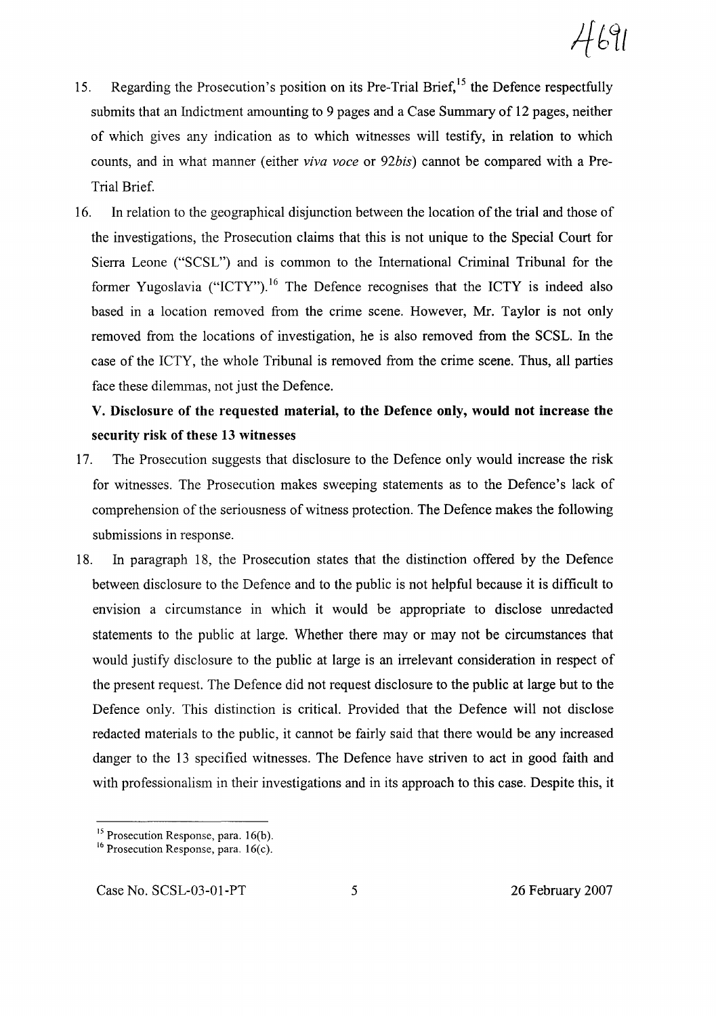$4691$ 

- 15. Regarding the Prosecution's position on its Pre-Trial Brief,<sup>15</sup> the Defence respectfully submits that an Indictment amounting to 9 pages and a Case Summary of 12 pages, neither of which gives any indication as to which witnesses will testify, in relation to which counts, and in what manner (either *viva voce* or *92bis)* cannot be compared with a Pre-Trial Brief.
- 16. In relation to the geographical disjunction between the location of the trial and those of the investigations, the Prosecution claims that this is not unique to the Special Court for Sierra Leone ("SCSL") and is common to the International Criminal Tribunal for the former Yugoslavia ("ICTY").<sup>16</sup> The Defence recognises that the ICTY is indeed also based in a location removed from the crime scene. However, Mr. Taylor is not only removed from the locations of investigation, he is also removed from the SCSL. In the case of the ICTY, the whole Tribunal is removed from the crime scene. Thus, all parties face these dilemmas, not just the Defence.

# V. Disclosure of the requested material, to the Defence only, would not increase the security risk of these 13 witnesses

- 17. The Prosecution suggests that disclosure to the Defence only would increase the risk for witnesses. The Prosecution makes sweeping statements as to the Defence's lack of comprehension of the seriousness of witness protection. The Defence makes the following submissions in response.
- 18. In paragraph 18, the Prosecution states that the distinction offered by the Defence between disclosure to the Defence and to the public is not helpful because it is difficult to envision a circumstance in which it would be appropriate to disclose unredacted statements to the public at large. Whether there mayor may not be circumstances that would justify disclosure to the public at large is an irrelevant consideration in respect of the present request. The Defence did not request disclosure to the public at large but to the Defence only. This distinction is critical. Provided that the Defence will not disclose redacted materials to the public, it cannot be fairly said that there would be any increased danger to the 13 specified witnesses. The Defence have striven to act in good faith and with professionalism in their investigations and in its approach to this case. Despite this, it

<sup>&</sup>lt;sup>15</sup> Prosecution Response, para. 16(b).

 $16$  Prosecution Response, para.  $16(c)$ .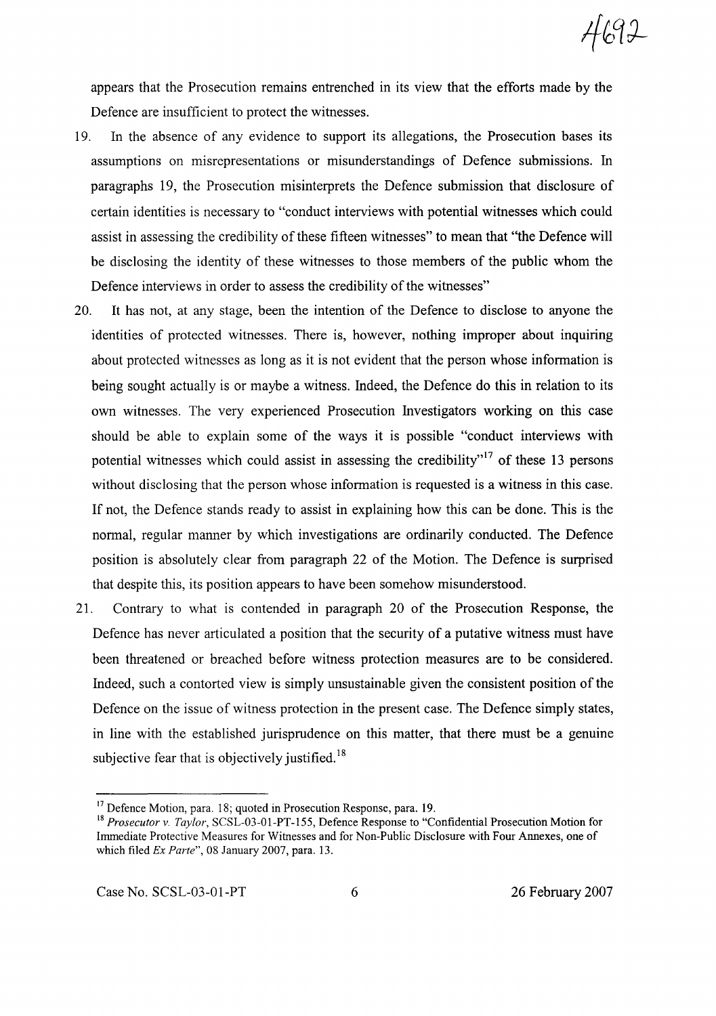$4692$ 

appears that the Prosecution remains entrenched in its view that the efforts made by the Defence are insufficient to protect the witnesses.

- 19. In the absence of any evidence to support its allegations, the Prosecution bases its assumptions on misrepresentations or misunderstandings of Defence submissions. In paragraphs 19, the Prosecution misinterprets the Defence submission that disclosure of certain identities is necessary to "conduct interviews with potential witnesses which could assist in assessing the credibility of these fifteen witnesses" to mean that "the Defence will be disclosing the identity of these witnesses to those members of the public whom the Defence interviews in order to assess the credibility of the witnesses"
- 20. It has not, at any stage, been the intention of the Defence to disclose to anyone the identities of protected witnesses. There is, however, nothing improper about inquiring about protected witnesses as long as it is not evident that the person whose information is being sought actually is or maybe a witness. Indeed, the Defence do this in relation to its own witnesses. The very experienced Prosecution Investigators working on this case should be able to explain some of the ways it is possible "conduct interviews with potential witnesses which could assist in assessing the credibility.<sup>17</sup> of these 13 persons without disclosing that the person whose information is requested is a witness in this case. If not, the Defence stands ready to assist in explaining how this can be done. This is the normal, regular manner by which investigations are ordinarily conducted. The Defence position is absolutely clear from paragraph 22 of the Motion. The Defence is surprised that despite this, its position appears to have been somehow misunderstood.
- 21. Contrary to what is contended in paragraph 20 of the Prosecution Response, the Defence has never articulated a position that the security of a putative witness must have been threatened or breached before witness protection measures are to be considered. Indeed, such a contorted view is simply unsustainable given the consistent position of the Defence on the issue of witness protection in the present case. The Defence simply states, in line with the established jurisprudence on this matter, that there must be a genuine subjective fear that is objectively justified.<sup>18</sup>

<sup>&</sup>lt;sup>17</sup> Defence Motion, para. 18; quoted in Prosecution Response, para. 19.

<sup>18</sup> *Prosecutor v. Taylor,* SCSL-03-01-PT-155, Defence Response to "Confidential Prosecution Motion for Immediate Protective Measures for Witnesses and for Non-Public Disclosure with Four Annexes, one of which filed *Ex Parte",* 08 January 2007, para. 13.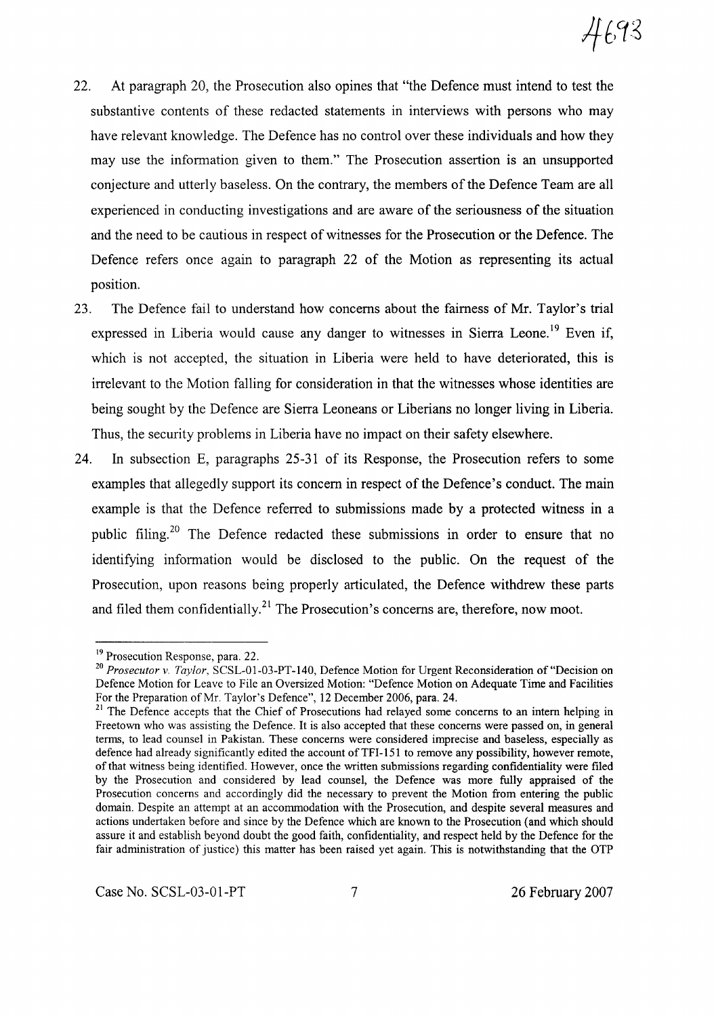- 22. At paragraph 20, the Prosecution also opines that "the Defence must intend to test the substantive contents of these redacted statements in interviews with persons who may have relevant knowledge. The Defence has no control over these individuals and how they may use the information given to them." The Prosecution assertion is an unsupported conjecture and utterly baseless. On the contrary, the members of the Defence Team are all experienced in conducting investigations and are aware of the seriousness of the situation and the need to be cautious in respect of witnesses for the Prosecution or the Defence. The Defence refers once again to paragraph 22 of the Motion as representing its actual position.
- 23. The Defence fail to understand how concerns about the fairness of Mr. Taylor's trial expressed in Liberia would cause any danger to witnesses in Sierra Leone.<sup>19</sup> Even if, which is not accepted, the situation in Liberia were held to have deteriorated, this is irrelevant to the Motion falling for consideration in that the witnesses whose identities are being sought by the Defence are Sierra Leoneans or Liberians no longer living in Liberia. Thus, the security problems in Liberia have no impact on their safety elsewhere.
- 24. In subsection E, paragraphs 25-31 of its Response, the Prosecution refers to some examples that allegedly support its concern in respect of the Defence's conduct. The main example is that the Defence referred to submissions made by a protected witness in a public filing.<sup>20</sup> The Defence redacted these submissions in order to ensure that no identifying information would be disclosed to the public. On the request of the Prosecution, upon reasons being properly articulated, the Defence withdrew these parts and filed them confidentially.<sup>21</sup> The Prosecution's concerns are, therefore, now moot.

<sup>&</sup>lt;sup>19</sup> Prosecution Response, para. 22.

*<sup>20</sup> Prosecutor v. Taylor,* SCSL-OI-03-PT-140, Defence Motion for Urgent Reconsideration of "Decision on Defence Motion for Leave to File an Oversized Motion: "Defence Motion on Adequate Time and Facilities For the Preparation of Mr. Taylor's Defence", 12 December 2006, para. 24.

<sup>&</sup>lt;sup>21</sup> The Defence accepts that the Chief of Prosecutions had relayed some concerns to an intern helping in Freetown who was assisting the Defence. It is also accepted that these concerns were passed on, in general terms, to lead counsel in Pakistan. These concerns were considered imprecise and baseless, especially as defence had already significantly edited the account of TFI-151 to remove any possibility, however remote, ofthat witness being identified. However, once the written submissions regarding confidentiality were filed by the Prosecution and considered by lead counsel, the Defence was more fully appraised of the Prosecution concerns and accordingly did the necessary to prevent the Motion from entering the public domain. Despite an attempt at an accommodation with the Prosecution, and despite several measures and actions undertaken before and since by the Defence which are known to the Prosecution (and which should assure it and establish beyond doubt the good faith, confidentiality, and respect held by the Defence for the fair administration of justice) this matter has been raised yet again. This is notwithstanding that the OTP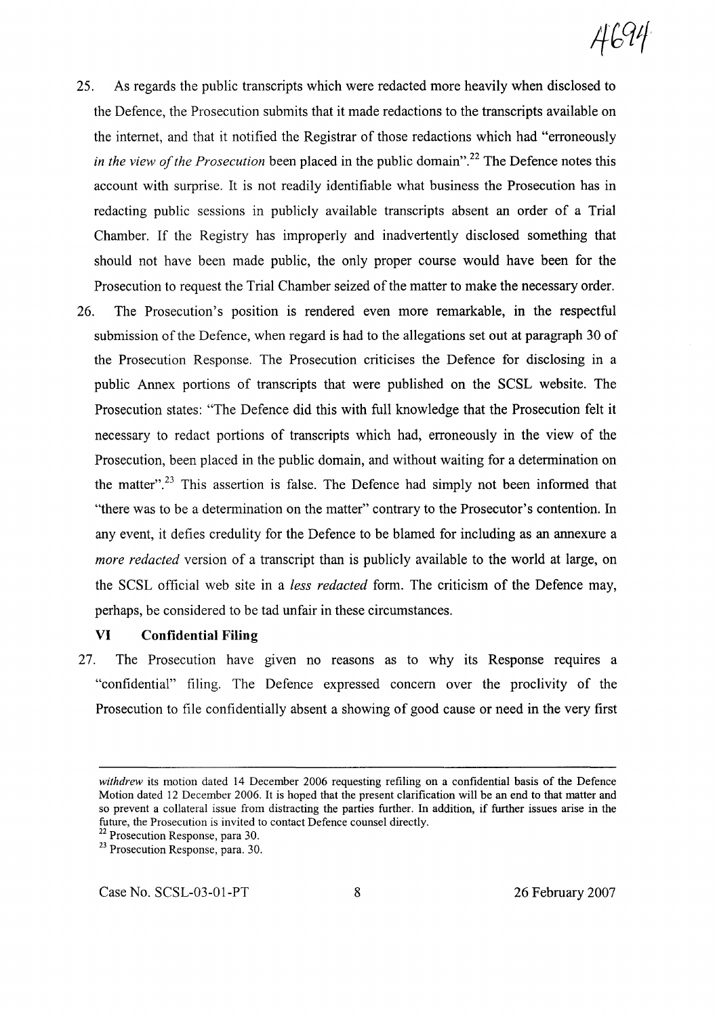- 25. As regards the public transcripts which were redacted more heavily when disclosed to the Defence, the Prosecution submits that it made redactions to the transcripts available on the internet, and that it notified the Registrar of those redactions which had "erroneously *in the view of the Prosecution* been placed in the public domain".<sup>22</sup> The Defence notes this account with surprise. It is not readily identifiable what business the Prosecution has in redacting public sessions in publicly available transcripts absent an order of a Trial Chamber. If the Registry has improperly and inadvertently disclosed something that should not have been made public, the only proper course would have been for the Prosecution to request the Trial Chamber seized of the matter to make the necessary order.
- 26. The Prosecution's position is rendered even more remarkable, in the respectful submission of the Defence, when regard is had to the allegations set out at paragraph 30 of the Prosecution Response. The Prosecution criticises the Defence for disclosing in a public Annex portions of transcripts that were published on the SCSL website. The Prosecution states: "The Defence did this with full knowledge that the Prosecution felt it necessary to redact portions of transcripts which had, erroneously in the view of the Prosecution, been placed in the public domain, and without waiting for a determination on the matter".<sup>23</sup> This assertion is false. The Defence had simply not been informed that "there was to be a determination on the matter" contrary to the Prosecutor's contention. In any event, it defies credulity for the Defence to be blamed for including as an annexure a *more redacted* version of a transcript than is publicly available to the world at large, on the SCSL official web site in a *less redacted* form. The criticism of the Defence may, perhaps, be considered to be tad unfair in these circumstances.

### **VI Confidential Filing**

27. The Prosecution have given no reasons as to why its Response requires a "confidential" filing. The Defence expressed concern over the proclivity of the Prosecution to file confidentially absent a showing of good cause or need in the very first

Case No. SCSL-03-01-PT 8 26 February 2007

4694

*withdrew* its motion dated 14 December 2006 requesting refiling on a confidential basis of the Defence Motion dated 12 December 2006. It is hoped that the present clarification will be an end to that matter and so prevent a collateral issue from distracting the parties further. In addition, if further issues arise in the future, the Prosecution is invited to contact Defence counsel directly.

<sup>&</sup>lt;sup>22</sup> Prosecution Response, para 30.

<sup>&</sup>lt;sup>23</sup> Prosecution Response, para. 30.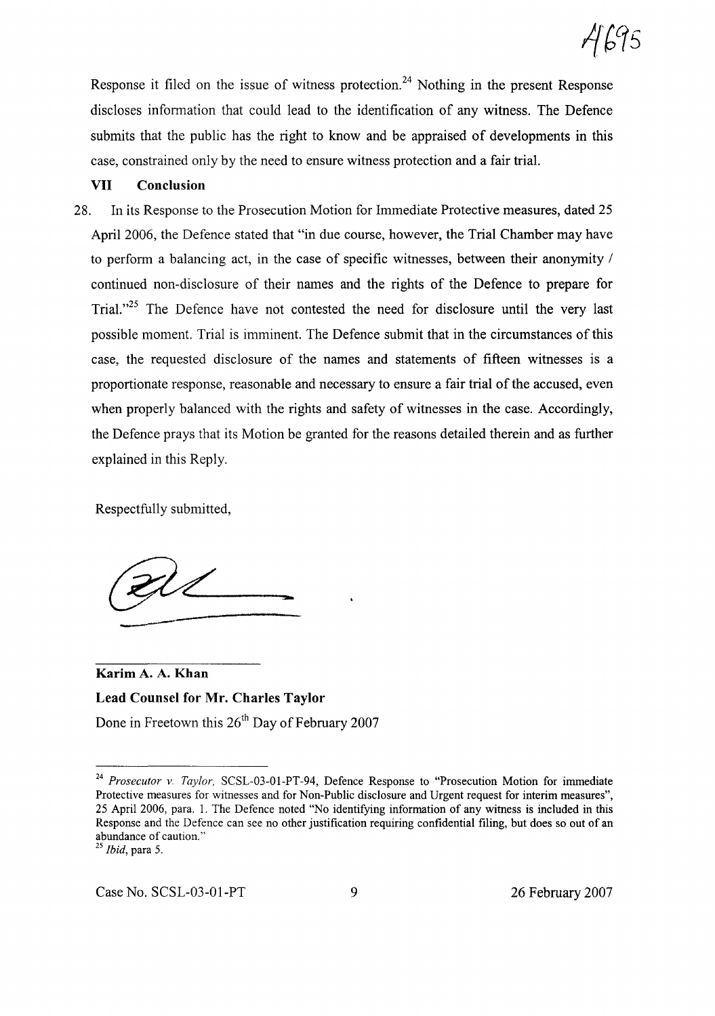Response it filed on the issue of witness protection.<sup>24</sup> Nothing in the present Response discloses information that could lead to the identification of any witness. The Defence submits that the public has the right to know and be appraised of developments in this case, constrained only by the need to ensure witness protection and a fair trial.

#### **VII Conclusion**

28. In its Response to the Prosecution Motion for Immediate Protective measures, dated 25 April 2006, the Defence stated that "in due course, however, the Trial Chamber may have to perform a balancing act, in the case of specific witnesses, between their anonymity / continued non-disclosure of their names and the rights of the Defence to prepare for Trial.<sup> $125$ </sup> The Defence have not contested the need for disclosure until the very last possible moment. Trial is imminent. The Defence submit that in the circumstances of this case, the requested disclosure of the names and statements of fifteen witnesses is a proportionate response, reasonable and necessary to ensure a fair trial of the accused, even when properly balanced with the rights and safety of witnesses in the case. Accordingly, the Defence prays that its Motion be granted for the reasons detailed therein and as further explained in this Reply.

Respectfully submitted,

 $\frac{2}{\sqrt{2}}$ 

**Karim** A. A. **Khan Lead Counsel for Mr. Charles Taylor** Done in Freetown this 26<sup>th</sup> Day of February 2007

*<sup>24</sup> Prosecutor v. Taylor,* SCSL-03-0l-PT-94, Defence Response to "Prosecution Motion for immediate Protective measures for witnesses and for Non-Public disclosure and Urgent request for interim measures", 25 April 2006, para. 1. The Defence noted "No identifying information of any witness is included in this Response and the Defence can see no other justification requiring confidential filing, but does so out of an abundance of caution."

*<sup>25</sup> Ibid,* para 5.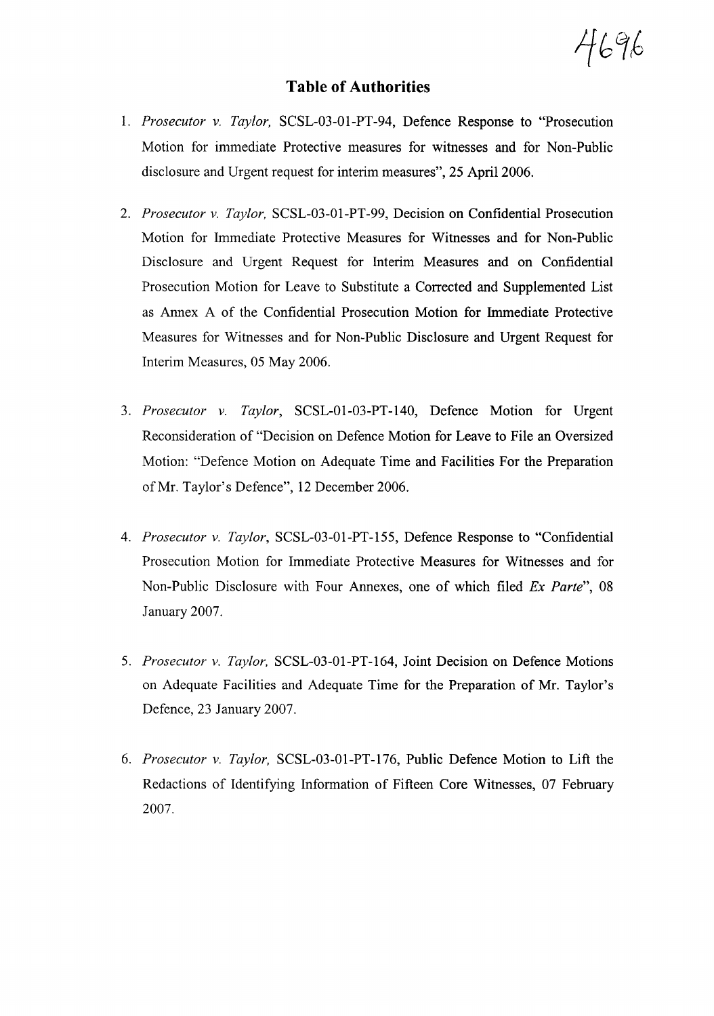469,6

## **Table of Authorities**

- 1. *Prosecutor v. Taylor,* SCSL-03-01-PT-94, Defence Response to "Prosecution Motion for immediate Protective measures for witnesses and for Non-Public disclosure and Urgent request for interim measures", 25 Apri12006.
- *2. Prosecutor v. Taylor,* SCSL-03-01-PT-99, Decision on Confidential Prosecution Motion for Immediate Protective Measures for Witnesses and for Non-Public Disclosure and Urgent Request for Interim Measures and on Confidential Prosecution Motion for Leave to Substitute a Corrected and Supplemented List as Annex A of the Confidential Prosecution Motion for Immediate Protective Measures for Witnesses and for Non-Public Disclosure and Urgent Request for Interim Measures, 05 May 2006.
- *3. Prosecutor v. Taylor,* SCSL-01-03-PT-140, Defence Motion for Urgent Reconsideration of "Decision on Defence Motion for Leave to File an Oversized Motion: "Defence Motion on Adequate Time and Facilities For the Preparation ofMr. Taylor's Defence", 12 December 2006.
- *4. Prosecutor v. Taylor,* SCSL-03-01-PT-155, Defence Response to "Confidential Prosecution Motion for Immediate Protective Measures for Witnesses and for Non-Public Disclosure with Four Annexes, one of which filed *Ex Parte", 08* January 2007.
- *5. Prosecutor v. Taylor,* SCSL-03-01-PT-164, Joint Decision on Defence Motions on Adequate Facilities and Adequate Time for the Preparation of Mr. Taylor's Defence,23 January 2007.
- *6. Prosecutor v. Taylor,* SCSL-03-01-PT-176, Public Defence Motion to Lift the Redactions of Identifying Information of Fifteen Core Witnesses, 07 February 2007.